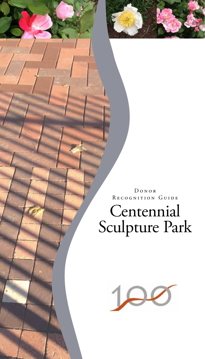

## Centennial Sculpture Park

D o n o r RECOGNITION GUIDE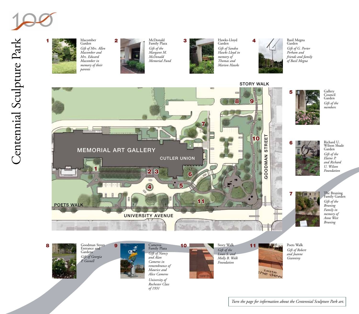



Garden *Gift of Mrs. Allen Macomber and Mrs. Edward Macomber in memory of their parents*



McDonald Family Plaza *Gift of the Margaret M. McDonald Memorial Fund* 



Garden *Gift of Sandra Hawks Lloyd in memory of Thomas and Marion Hawks*



*Gift of G. Porter Perham and friends and family of Basil Megna*





Entrance and Gardens *Gift of Georgia P. Gosnell*



Cameros Family Plaza *Gift of Nancy and Alan Cameros in remembrance of Maurice and Alice Cameros University of Rochester Class* 

*of 1931*

10 **Poets Walk** Story Walk 11 **Poets Walk** Poets Walk

Story Walk *Gift of the Louis S. and Molly B. Wolk Foundation*

11

*Gift of Robert and Joanne Gianniny*

the dew